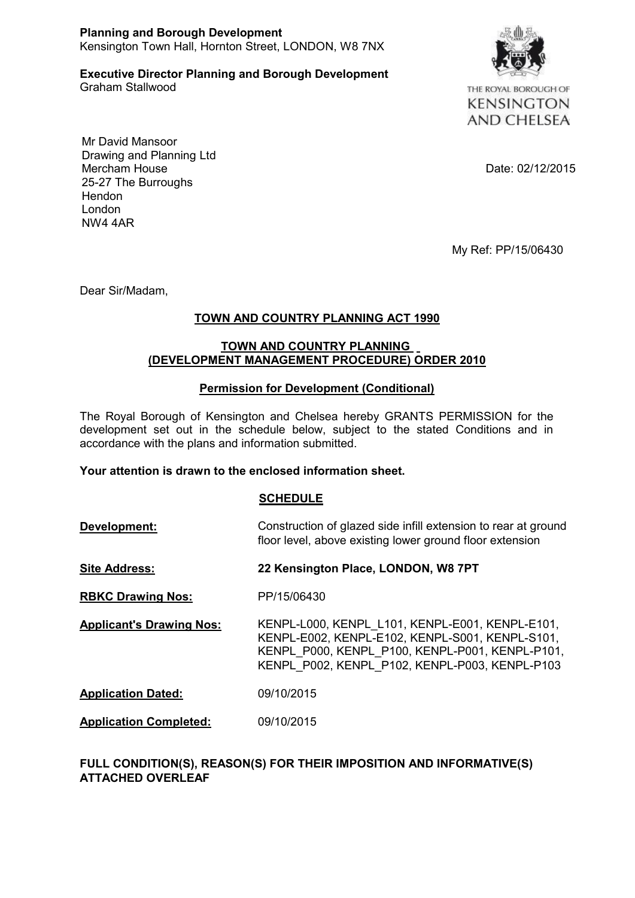#### **Planning and Borough Development** Kensington Town Hall, Hornton Street, LONDON, W8 7NX

**Executive Director Planning and Borough Development**

Graham Stallwood



THE ROYAL BOROUGH OF **KENSINGTON AND CHELSEA** 

Mr David Mansoor Drawing and Planning Ltd Mercham House Date: 02/12/2015 25-27 The Burroughs Hendon London NW4 4AR

My Ref: PP/15/06430

Dear Sir/Madam,

# **TOWN AND COUNTRY PLANNING ACT 1990**

## **TOWN AND COUNTRY PLANNING (DEVELOPMENT MANAGEMENT PROCEDURE) ORDER 2010**

## **Permission for Development (Conditional)**

The Royal Borough of Kensington and Chelsea hereby GRANTS PERMISSION for the development set out in the schedule below, subject to the stated Conditions and in accordance with the plans and information submitted.

## **Your attention is drawn to the enclosed information sheet.**

## **SCHEDULE**

**Development:** Construction of glazed side infill extension to rear at ground floor level, above existing lower ground floor extension

- **Site Address: 22 Kensington Place, LONDON, W8 7PT**
- **RBKC Drawing Nos:** PP/15/06430
- **Applicant's Drawing Nos:** KENPL-L000, KENPL\_L101, KENPL-E001, KENPL-E101, KENPL-E002, KENPL-E102, KENPL-S001, KENPL-S101, KENPL\_P000, KENPL\_P100, KENPL-P001, KENPL-P101, KENPL\_P002, KENPL\_P102, KENPL-P003, KENPL-P103
- **Application Dated:** 09/10/2015
- **Application Completed:** 09/10/2015

## **FULL CONDITION(S), REASON(S) FOR THEIR IMPOSITION AND INFORMATIVE(S) ATTACHED OVERLEAF**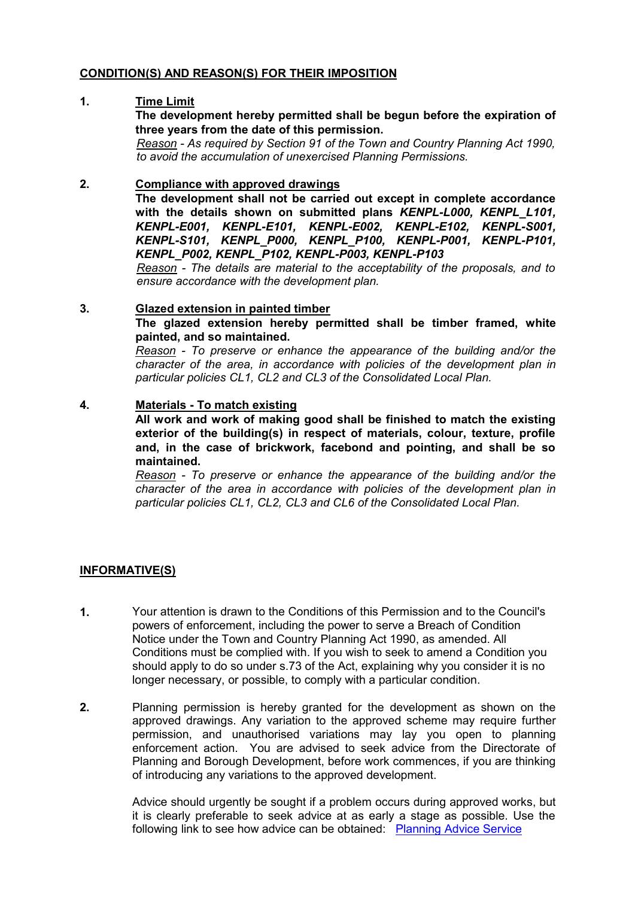#### **CONDITION(S) AND REASON(S) FOR THEIR IMPOSITION**

#### **1. Time Limit**

**The development hereby permitted shall be begun before the expiration of three years from the date of this permission.**

*Reason - As required by Section 91 of the Town and Country Planning Act 1990, to avoid the accumulation of unexercised Planning Permissions.*

## **2. Compliance with approved drawings**

**The development shall not be carried out except in complete accordance with the details shown on submitted plans** *KENPL-L000, KENPL\_L101, KENPL-E001, KENPL-E101, KENPL-E002, KENPL-E102, KENPL-S001, KENPL-S101, KENPL\_P000, KENPL\_P100, KENPL-P001, KENPL-P101, KENPL\_P002, KENPL\_P102, KENPL-P003, KENPL-P103*

*Reason - The details are material to the acceptability of the proposals, and to ensure accordance with the development plan.*

#### **3. Glazed extension in painted timber**

**The glazed extension hereby permitted shall be timber framed, white painted, and so maintained.**

*Reason - To preserve or enhance the appearance of the building and/or the character of the area, in accordance with policies of the development plan in particular policies CL1, CL2 and CL3 of the Consolidated Local Plan.*

#### **4. Materials - To match existing**

**All work and work of making good shall be finished to match the existing exterior of the building(s) in respect of materials, colour, texture, profile and, in the case of brickwork, facebond and pointing, and shall be so maintained.** 

*Reason - To preserve or enhance the appearance of the building and/or the character of the area in accordance with policies of the development plan in particular policies CL1, CL2, CL3 and CL6 of the Consolidated Local Plan.*

## **INFORMATIVE(S)**

- **1.** Your attention is drawn to the Conditions of this Permission and to the Council's powers of enforcement, including the power to serve a Breach of Condition Notice under the Town and Country Planning Act 1990, as amended. All Conditions must be complied with. If you wish to seek to amend a Condition you should apply to do so under s.73 of the Act, explaining why you consider it is no longer necessary, or possible, to comply with a particular condition.
- **2.** Planning permission is hereby granted for the development as shown on the approved drawings. Any variation to the approved scheme may require further permission, and unauthorised variations may lay you open to planning enforcement action. You are advised to seek advice from the Directorate of Planning and Borough Development, before work commences, if you are thinking of introducing any variations to the approved development.

Advice should urgently be sought if a problem occurs during approved works, but it is clearly preferable to seek advice at as early a stage as possible. Use the following link to see how advice can be obtained: Planning Advice Service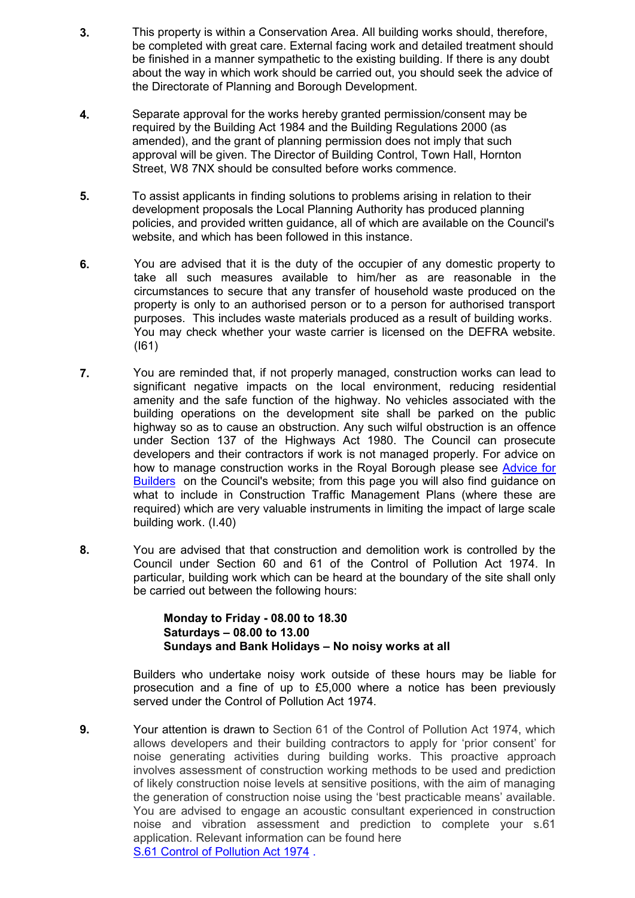- **3.** This property is within a Conservation Area. All building works should, therefore, be completed with great care. External facing work and detailed treatment should be finished in a manner sympathetic to the existing building. If there is any doubt about the way in which work should be carried out, you should seek the advice of the Directorate of Planning and Borough Development.
- **4.** Separate approval for the works hereby granted permission/consent may be required by the Building Act 1984 and the Building Regulations 2000 (as amended), and the grant of planning permission does not imply that such approval will be given. The Director of Building Control, Town Hall, Hornton Street, W8 7NX should be consulted before works commence.
- **5.** To assist applicants in finding solutions to problems arising in relation to their development proposals the Local Planning Authority has produced planning policies, and provided written guidance, all of which are available on the Council's website, and which has been followed in this instance.
- **6.** You are advised that it is the duty of the occupier of any domestic property to take all such measures available to him/her as are reasonable in the circumstances to secure that any transfer of household waste produced on the property is only to an authorised person or to a person for authorised transport purposes. This includes waste materials produced as a result of building works. You may check whether your waste carrier is licensed on the DEFRA website. (I61)
- **7.** You are reminded that, if not properly managed, construction works can lead to significant negative impacts on the local environment, reducing residential amenity and the safe function of the highway. No vehicles associated with the building operations on the development site shall be parked on the public highway so as to cause an obstruction. Any such wilful obstruction is an offence under Section 137 of the Highways Act 1980. The Council can prosecute developers and their contractors if work is not managed properly. For advice on how to manage construction works in the Royal Borough please see Advice for Builders on the Council's website; from this page you will also find guidance on what to include in Construction Traffic Management Plans (where these are required) which are very valuable instruments in limiting the impact of large scale building work. (I.40)
- **8.** You are advised that that construction and demolition work is controlled by the Council under Section 60 and 61 of the Control of Pollution Act 1974. In particular, building work which can be heard at the boundary of the site shall only be carried out between the following hours:

## **Monday to Friday - 08.00 to 18.30 Saturdays – 08.00 to 13.00 Sundays and Bank Holidays – No noisy works at all**

Builders who undertake noisy work outside of these hours may be liable for prosecution and a fine of up to £5,000 where a notice has been previously served under the Control of Pollution Act 1974.

**9.** Your attention is drawn to Section 61 of the Control of Pollution Act 1974, which allows developers and their building contractors to apply for 'prior consent' for noise generating activities during building works. This proactive approach involves assessment of construction working methods to be used and prediction of likely construction noise levels at sensitive positions, with the aim of managing the generation of construction noise using the 'best practicable means' available. You are advised to engage an acoustic consultant experienced in construction noise and vibration assessment and prediction to complete your s.61 application. Relevant information can be found here S.61 Control of Pollution Act 1974 .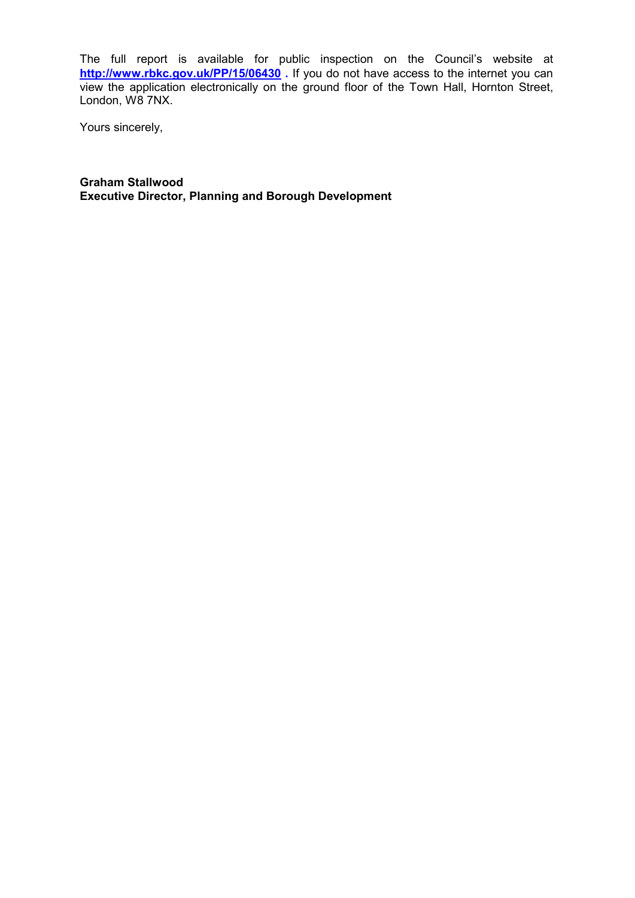The full report is available for public inspection on the Council's website at **http://www.rbkc.gov.uk/PP/15/06430 .** If you do not have access to the internet you can view the application electronically on the ground floor of the Town Hall, Hornton Street, London, W8 7NX.

Yours sincerely,

**Graham Stallwood Executive Director, Planning and Borough Development**